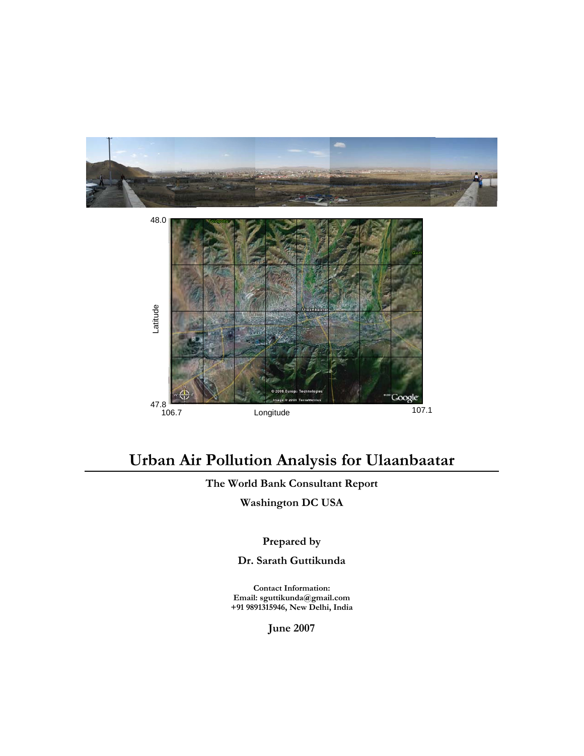



# **Urban Air Pollution Analysis for Ulaanbaatar**

## **The World Bank Consultant Report**

**Washington DC USA** 

## **Prepared by**

**Dr. Sarath Guttikunda** 

**Contact Information: Email: sguttikunda@gmail.com +91 9891315946, New Delhi, India** 

**June 2007**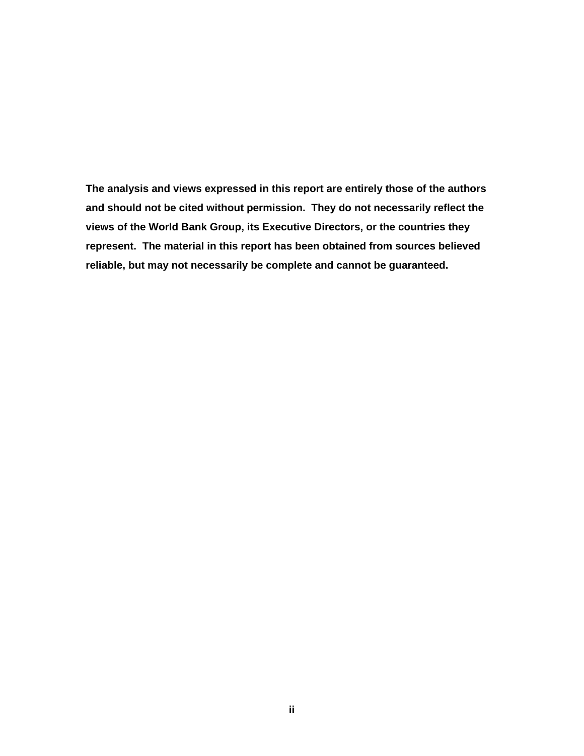**The analysis and views expressed in this report are entirely those of the authors and should not be cited without permission. They do not necessarily reflect the views of the World Bank Group, its Executive Directors, or the countries they represent. The material in this report has been obtained from sources believed reliable, but may not necessarily be complete and cannot be guaranteed.**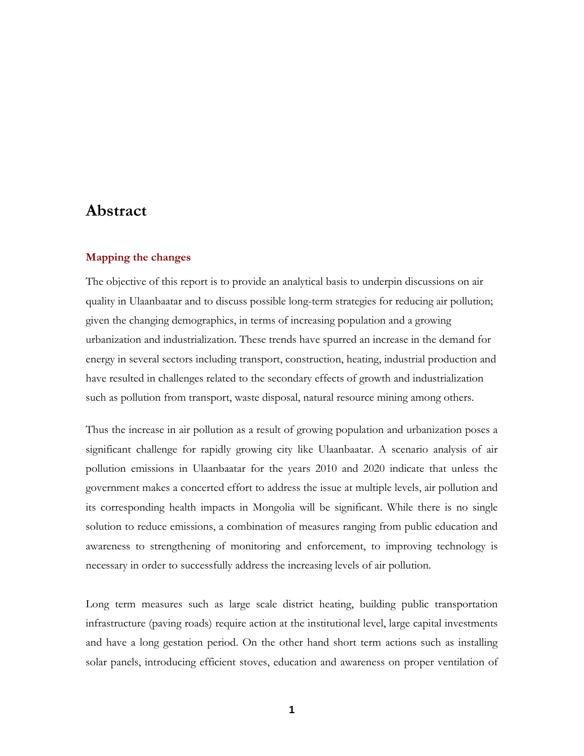## **Abstract**

#### **Mapping the changes**

The objective of this report is to provide an analytical basis to underpin discussions on air quality in Ulaanbaatar and to discuss possible long-term strategies for reducing air pollution; given the changing demographics, in terms of increasing population and a growing urbanization and industrialization. These trends have spurred an increase in the demand for energy in several sectors including transport, construction, heating, industrial production and have resulted in challenges related to the secondary effects of growth and industrialization such as pollution from transport, waste disposal, natural resource mining among others.

Thus the increase in air pollution as a result of growing population and urbanization poses a significant challenge for rapidly growing city like Ulaanbaatar. A scenario analysis of air pollution emissions in Ulaanbaatar for the years 2010 and 2020 indicate that unless the government makes a concerted effort to address the issue at multiple levels, air pollution and its corresponding health impacts in Mongolia will be significant. While there is no single solution to reduce emissions, a combination of measures ranging from public education and awareness to strengthening of monitoring and enforcement, to improving technology is necessary in order to successfully address the increasing levels of air pollution.

Long term measures such as large scale district heating, building public transportation infrastructure (paving roads) require action at the institutional level, large capital investments and have a long gestation period. On the other hand short term actions such as installing solar panels, introducing efficient stoves, education and awareness on proper ventilation of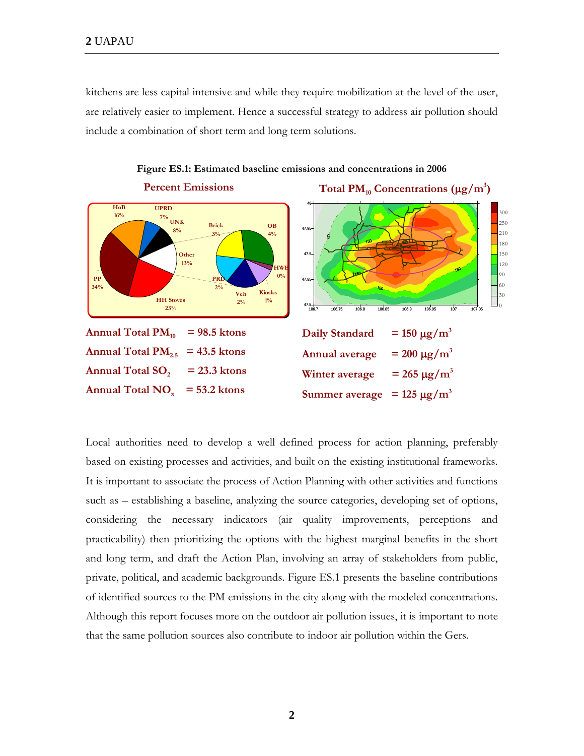kitchens are less capital intensive and while they require mobilization at the level of the user, are relatively easier to implement. Hence a successful strategy to address air pollution should include a combination of short term and long term solutions.



**Figure ES.1: Estimated baseline emissions and concentrations in 2006** 

Local authorities need to develop a well defined process for action planning, preferably based on existing processes and activities, and built on the existing institutional frameworks. It is important to associate the process of Action Planning with other activities and functions such as – establishing a baseline, analyzing the source categories, developing set of options, considering the necessary indicators (air quality improvements, perceptions and practicability) then prioritizing the options with the highest marginal benefits in the short and long term, and draft the Action Plan, involving an array of stakeholders from public, private, political, and academic backgrounds. Figure ES.1 presents the baseline contributions of identified sources to the PM emissions in the city along with the modeled concentrations. Although this report focuses more on the outdoor air pollution issues, it is important to note that the same pollution sources also contribute to indoor air pollution within the Gers.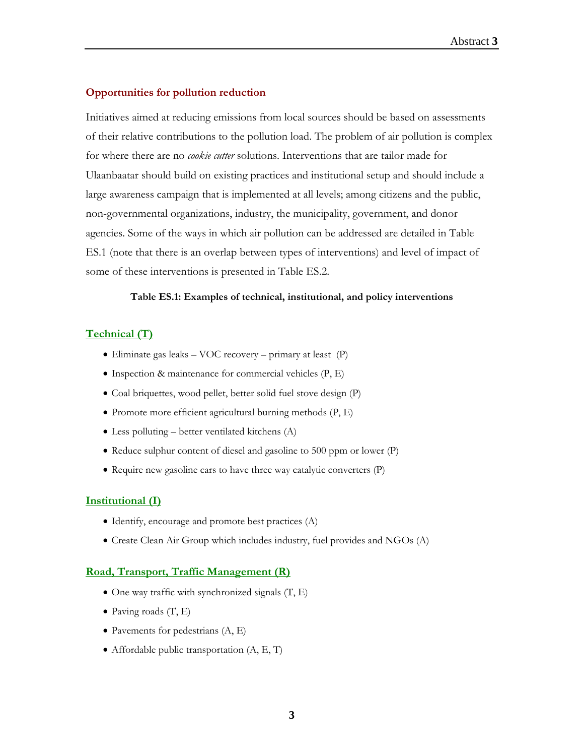#### **Opportunities for pollution reduction**

Initiatives aimed at reducing emissions from local sources should be based on assessments of their relative contributions to the pollution load. The problem of air pollution is complex for where there are no *cookie cutter* solutions. Interventions that are tailor made for Ulaanbaatar should build on existing practices and institutional setup and should include a large awareness campaign that is implemented at all levels; among citizens and the public, non-governmental organizations, industry, the municipality, government, and donor agencies. Some of the ways in which air pollution can be addressed are detailed in Table ES.1 (note that there is an overlap between types of interventions) and level of impact of some of these interventions is presented in Table ES.2.

#### **Table ES.1: Examples of technical, institutional, and policy interventions**

#### **Technical (T)**

- Eliminate gas leaks VOC recovery primary at least (P)
- Inspection & maintenance for commercial vehicles (P, E)
- Coal briquettes, wood pellet, better solid fuel stove design (P)
- Promote more efficient agricultural burning methods (P, E)
- Less polluting better ventilated kitchens (A)
- Reduce sulphur content of diesel and gasoline to 500 ppm or lower (P)
- Require new gasoline cars to have three way catalytic converters (P)

#### **Institutional (I)**

- Identify, encourage and promote best practices (A)
- Create Clean Air Group which includes industry, fuel provides and NGOs (A)

#### **Road, Transport, Traffic Management (R)**

- One way traffic with synchronized signals  $(T, E)$
- Paving roads  $(T, E)$
- Pavements for pedestrians (A, E)
- Affordable public transportation  $(A, E, T)$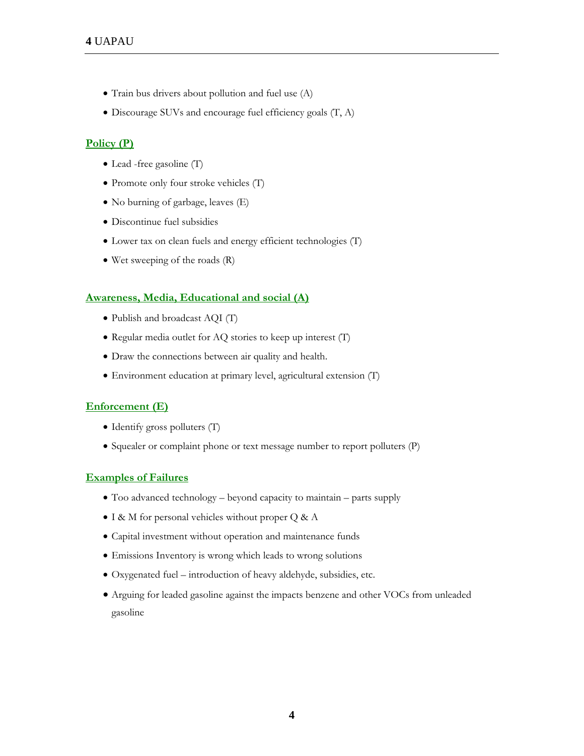- Train bus drivers about pollution and fuel use (A)
- Discourage SUVs and encourage fuel efficiency goals (T, A)

#### **Policy (P)**

- Lead -free gasoline (T)
- Promote only four stroke vehicles (T)
- No burning of garbage, leaves (E)
- Discontinue fuel subsidies
- Lower tax on clean fuels and energy efficient technologies (T)
- Wet sweeping of the roads (R)

#### **Awareness, Media, Educational and social (A)**

- Publish and broadcast AQI (T)
- Regular media outlet for AQ stories to keep up interest (T)
- Draw the connections between air quality and health.
- Environment education at primary level, agricultural extension (T)

#### **Enforcement (E)**

- Identify gross polluters (T)
- Squealer or complaint phone or text message number to report polluters (P)

#### **Examples of Failures**

- Too advanced technology beyond capacity to maintain parts supply
- I & M for personal vehicles without proper Q & A
- Capital investment without operation and maintenance funds
- Emissions Inventory is wrong which leads to wrong solutions
- Oxygenated fuel introduction of heavy aldehyde, subsidies, etc.
- Arguing for leaded gasoline against the impacts benzene and other VOCs from unleaded gasoline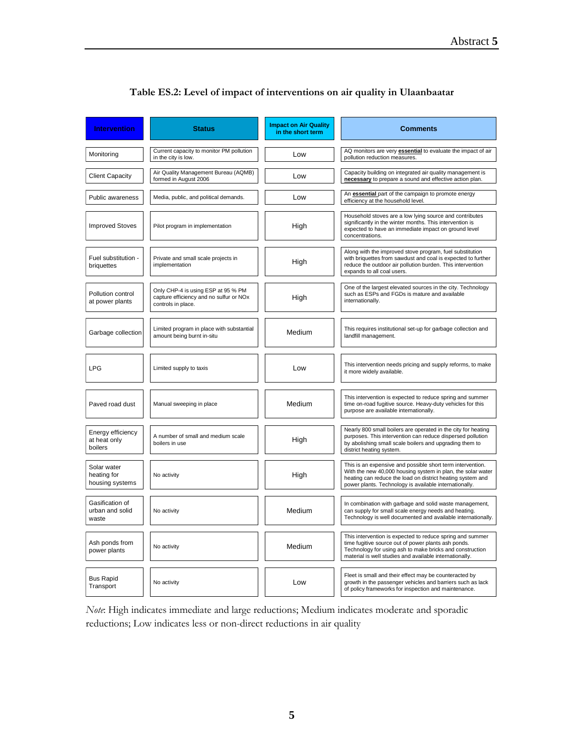| <b>Intervention</b>                           | <b>Status</b>                                                                                       | <b>Impact on Air Quality</b><br>in the short term | <b>Comments</b>                                                                                                                                                                                                                                   |
|-----------------------------------------------|-----------------------------------------------------------------------------------------------------|---------------------------------------------------|---------------------------------------------------------------------------------------------------------------------------------------------------------------------------------------------------------------------------------------------------|
| Monitoring                                    | Current capacity to monitor PM pollution<br>in the city is low.                                     | Low                                               | AQ monitors are very essential to evaluate the impact of air<br>pollution reduction measures.                                                                                                                                                     |
| <b>Client Capacity</b>                        | Air Quality Management Bureau (AQMB)<br>formed in August 2006                                       | Low                                               | Capacity building on integrated air quality management is<br>necessary to prepare a sound and effective action plan.                                                                                                                              |
| Public awareness                              | Media, public, and political demands.                                                               | Low                                               | An <b>essential</b> part of the campaign to promote energy<br>efficiency at the household level.                                                                                                                                                  |
| <b>Improved Stoves</b>                        | Pilot program in implementation                                                                     | High                                              | Household stoves are a low lying source and contributes<br>significantly in the winter months. This intervention is<br>expected to have an immediate impact on ground level<br>concentrations.                                                    |
| Fuel substitution -<br>briquettes             | Private and small scale projects in<br>implementation                                               | High                                              | Along with the improved stove program, fuel substitution<br>with briquettes from sawdust and coal is expected to further<br>reduce the outdoor air pollution burden. This intervention<br>expands to all coal users.                              |
| Pollution control<br>at power plants          | Only CHP-4 is using ESP at 95 % PM<br>capture efficiency and no sulfur or NOx<br>controls in place. | High                                              | One of the largest elevated sources in the city. Technology<br>such as ESPs and FGDs is mature and available<br>internationally.                                                                                                                  |
| Garbage collection                            | Limited program in place with substantial<br>amount being burnt in-situ                             | Medium                                            | This requires institutional set-up for garbage collection and<br>landfill management.                                                                                                                                                             |
| <b>LPG</b>                                    | Limited supply to taxis                                                                             | Low                                               | This intervention needs pricing and supply reforms, to make<br>it more widely available.                                                                                                                                                          |
| Paved road dust                               | Manual sweeping in place                                                                            | Medium                                            | This intervention is expected to reduce spring and summer<br>time on-road fugitive source. Heavy-duty vehicles for this<br>purpose are available internationally.                                                                                 |
| Energy efficiency<br>at heat only<br>boilers  | A number of small and medium scale<br>boilers in use                                                | High                                              | Nearly 800 small boilers are operated in the city for heating<br>purposes. This intervention can reduce dispersed pollution<br>by abolishing small scale boilers and upgrading them to<br>district heating system.                                |
| Solar water<br>heating for<br>housing systems | No activity                                                                                         | High                                              | This is an expensive and possible short term intervention.<br>With the new 40,000 housing system in plan, the solar water<br>heating can reduce the load on district heating system and<br>power plants. Technology is available internationally. |
| Gasification of<br>urban and solid<br>waste   | No activity                                                                                         | Medium                                            | In combination with garbage and solid waste management,<br>can supply for small scale energy needs and heating.<br>Technology is well documented and available internationally.                                                                   |
| Ash ponds from<br>power plants                | No activity                                                                                         | Medium                                            | This intervention is expected to reduce spring and summer<br>time fugitive source out of power plants ash ponds.<br>Technology for using ash to make bricks and construction<br>material is well studies and available internationally.           |
| <b>Bus Rapid</b><br>Transport                 | No activity                                                                                         | Low                                               | Fleet is small and their effect may be counteracted by<br>growth in the passenger vehicles and barriers such as lack<br>of policy frameworks for inspection and maintenance.                                                                      |

### **Table ES.2: Level of impact of interventions on air quality in Ulaanbaatar**

*Note*: High indicates immediate and large reductions; Medium indicates moderate and sporadic reductions; Low indicates less or non-direct reductions in air quality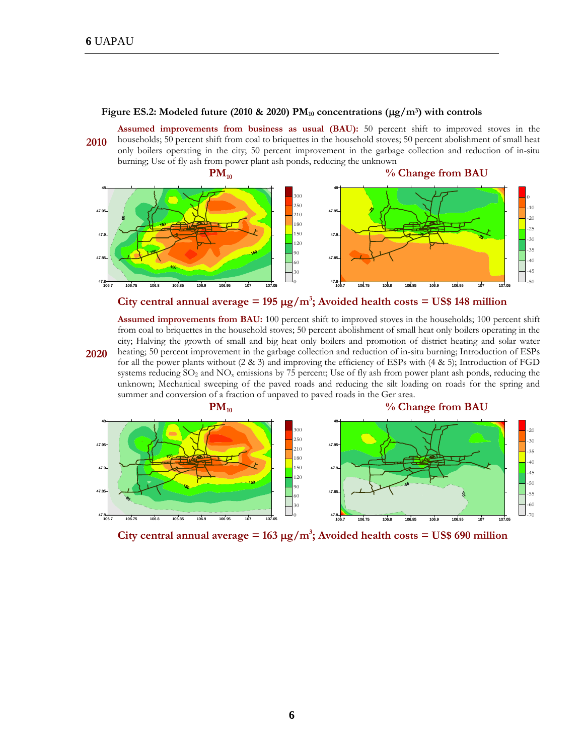**2020** 

#### Figure ES.2: Modeled future (2010 & 2020) PM<sub>10</sub> concentrations ( $\mu$ g/m<sup>3</sup>) with controls

**2010 Assumed improvements from business as usual (BAU):** 50 percent shift to improved stoves in the households; 50 percent shift from coal to briquettes in the household stoves; 50 percent abolishment of small heat only boilers operating in the city; 50 percent improvement in the garbage collection and reduction of in-situ burning; Use of fly ash from power plant ash ponds, reducing the unknown



City central annual average =  $195 \mu g/m^3$ ; Avoided health costs = US\$ 148 million

**Assumed improvements from BAU:** 100 percent shift to improved stoves in the households; 100 percent shift from coal to briquettes in the household stoves; 50 percent abolishment of small heat only boilers operating in the city; Halving the growth of small and big heat only boilers and promotion of district heating and solar water heating; 50 percent improvement in the garbage collection and reduction of in-situ burning; Introduction of ESPs for all the power plants without (2 & 3) and improving the efficiency of ESPs with (4 & 5); Introduction of FGD systems reducing SO<sub>2</sub> and NO<sub>x</sub> emissions by 75 percent; Use of fly ash from power plant ash ponds, reducing the unknown; Mechanical sweeping of the paved roads and reducing the silt loading on roads for the spring and summer and conversion of a fraction of unpaved to paved roads in the Ger area.



City central annual average =  $163 \mu g/m^3$ ; Avoided health costs = US\$ 690 million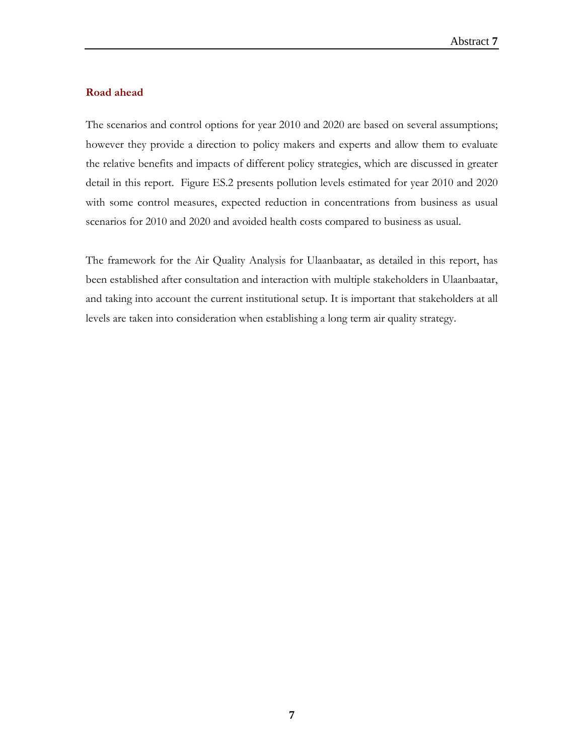### **Road ahead**

The scenarios and control options for year 2010 and 2020 are based on several assumptions; however they provide a direction to policy makers and experts and allow them to evaluate the relative benefits and impacts of different policy strategies, which are discussed in greater detail in this report. Figure ES.2 presents pollution levels estimated for year 2010 and 2020 with some control measures, expected reduction in concentrations from business as usual scenarios for 2010 and 2020 and avoided health costs compared to business as usual.

The framework for the Air Quality Analysis for Ulaanbaatar, as detailed in this report, has been established after consultation and interaction with multiple stakeholders in Ulaanbaatar, and taking into account the current institutional setup. It is important that stakeholders at all levels are taken into consideration when establishing a long term air quality strategy.